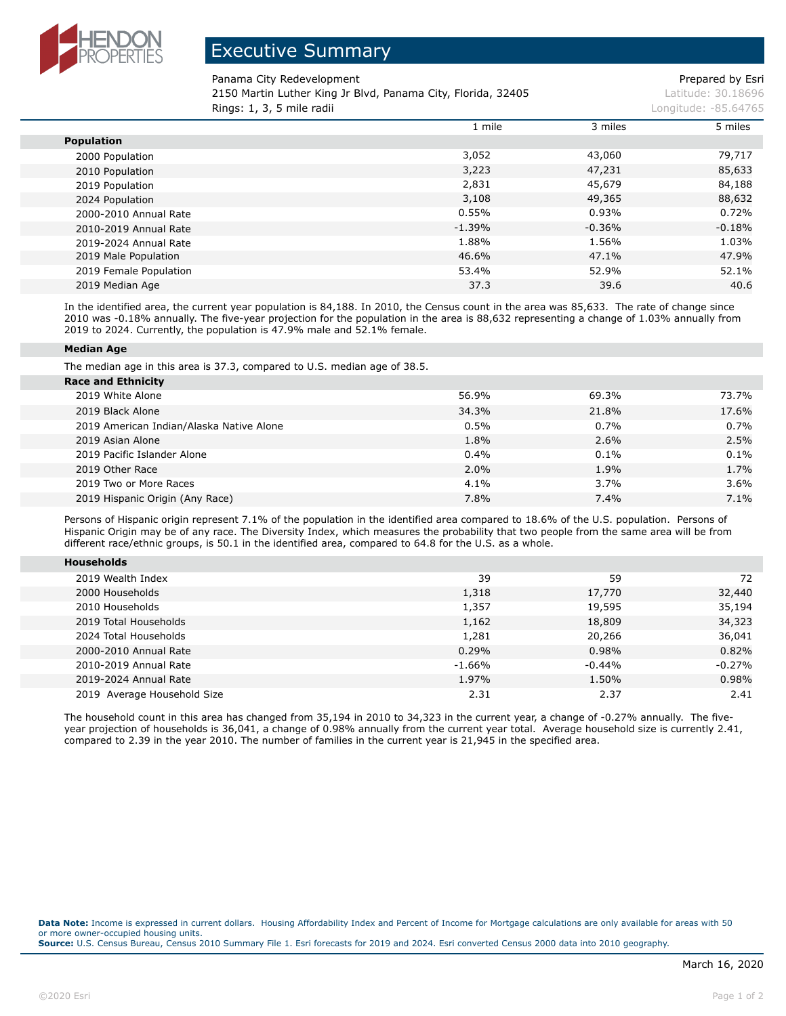

## Executive Summary

Panama City Redevelopment **Prepared by Esri** Prepared by Esri

2150 Martin Luther King Jr Blvd, Panama City, Florida, 32405 Latitude: 30.18696 **Rings: 1, 3, 5 mile radii Longitude: -85.64765 Longitude: -85.64765** 

|                        | 1 mile   | 3 miles  | 5 miles  |
|------------------------|----------|----------|----------|
| <b>Population</b>      |          |          |          |
| 2000 Population        | 3,052    | 43,060   | 79,717   |
| 2010 Population        | 3,223    | 47,231   | 85,633   |
| 2019 Population        | 2,831    | 45,679   | 84,188   |
| 2024 Population        | 3,108    | 49,365   | 88,632   |
| 2000-2010 Annual Rate  | 0.55%    | 0.93%    | 0.72%    |
| 2010-2019 Annual Rate  | $-1.39%$ | $-0.36%$ | $-0.18%$ |
| 2019-2024 Annual Rate  | 1.88%    | 1.56%    | 1.03%    |
| 2019 Male Population   | 46.6%    | 47.1%    | 47.9%    |
| 2019 Female Population | 53.4%    | 52.9%    | 52.1%    |
| 2019 Median Age        | 37.3     | 39.6     | 40.6     |

In the identified area, the current year population is 84,188. In 2010, the Census count in the area was 85,633. The rate of change since 2010 was -0.18% annually. The five-year projection for the population in the area is 88,632 representing a change of 1.03% annually from 2019 to 2024. Currently, the population is 47.9% male and 52.1% female.

## **Median Age**

The median age in this area is 37.3, compared to U.S. median age of 38.5.

| <b>Race and Ethnicity</b>                |       |         |         |
|------------------------------------------|-------|---------|---------|
| 2019 White Alone                         | 56.9% | 69.3%   | 73.7%   |
| 2019 Black Alone                         | 34.3% | 21.8%   | 17.6%   |
| 2019 American Indian/Alaska Native Alone | 0.5%  | $0.7\%$ | 0.7%    |
| 2019 Asian Alone                         | 1.8%  | 2.6%    | 2.5%    |
| 2019 Pacific Islander Alone              | 0.4%  | $0.1\%$ | 0.1%    |
| 2019 Other Race                          | 2.0%  | 1.9%    | 1.7%    |
| 2019 Two or More Races                   | 4.1%  | 3.7%    | $3.6\%$ |
| 2019 Hispanic Origin (Any Race)          | 7.8%  | 7.4%    | 7.1%    |

Persons of Hispanic origin represent 7.1% of the population in the identified area compared to 18.6% of the U.S. population. Persons of Hispanic Origin may be of any race. The Diversity Index, which measures the probability that two people from the same area will be from different race/ethnic groups, is 50.1 in the identified area, compared to 64.8 for the U.S. as a whole.

| <b>Households</b>           |          |          |          |
|-----------------------------|----------|----------|----------|
| 2019 Wealth Index           | 39       | 59       | 72       |
| 2000 Households             | 1,318    | 17,770   | 32,440   |
| 2010 Households             | 1,357    | 19,595   | 35,194   |
| 2019 Total Households       | 1,162    | 18,809   | 34,323   |
| 2024 Total Households       | 1,281    | 20,266   | 36,041   |
| 2000-2010 Annual Rate       | 0.29%    | 0.98%    | 0.82%    |
| 2010-2019 Annual Rate       | $-1.66%$ | $-0.44%$ | $-0.27%$ |
| 2019-2024 Annual Rate       | 1.97%    | 1.50%    | 0.98%    |
| 2019 Average Household Size | 2.31     | 2.37     | 2.41     |

The household count in this area has changed from 35,194 in 2010 to 34,323 in the current year, a change of -0.27% annually. The fiveyear projection of households is 36,041, a change of 0.98% annually from the current year total. Average household size is currently 2.41, compared to 2.39 in the year 2010. The number of families in the current year is 21,945 in the specified area.

**Data Note:** Income is expressed in current dollars. Housing Affordability Index and Percent of Income for Mortgage calculations are only available for areas with 50 or more owner-occupied housing units. **Source:** U.S. Census Bureau, Census 2010 Summary File 1. Esri forecasts for 2019 and 2024. Esri converted Census 2000 data into 2010 geography.